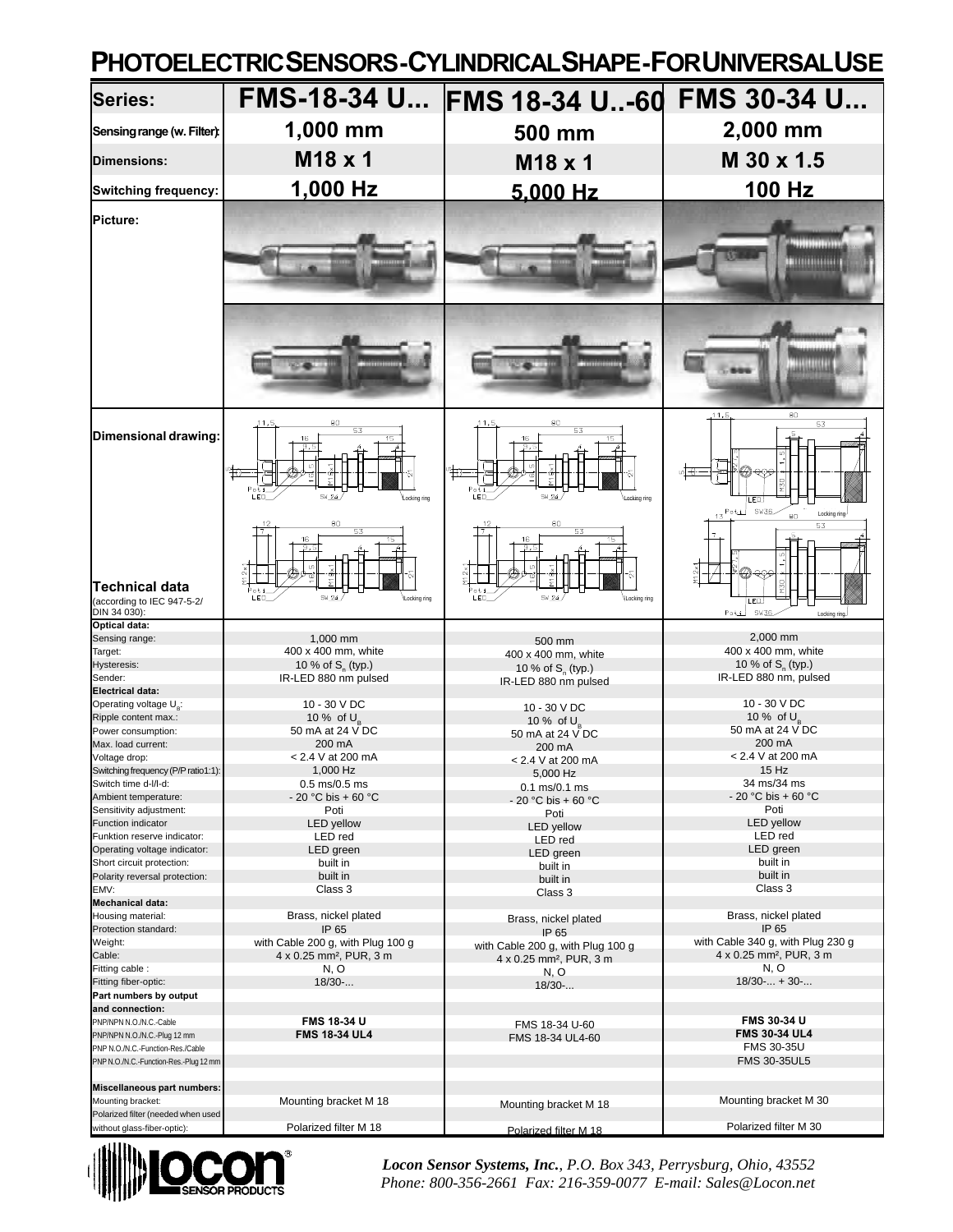## **PHOTOELECTRIC SENSORS - CYLINDRICAL SHAPE - FOR UNIVERSAL USE**

| <b>Series:</b>                                                              | <b>FMS-18-34 U</b>                          | <b>FMS 18-34 U-60</b>                                 | <b>FMS 30-34 U</b>                                          |
|-----------------------------------------------------------------------------|---------------------------------------------|-------------------------------------------------------|-------------------------------------------------------------|
| Sensing range (w. Filter):                                                  | 1,000 mm                                    | 500 mm                                                | 2,000 mm                                                    |
| Dimensions:                                                                 | M18 x 1                                     | M18 x 1                                               | M 30 x 1.5                                                  |
| <b>Switching frequency:</b>                                                 | 1,000 Hz                                    | 5,000 Hz                                              | 100 Hz                                                      |
| Picture:                                                                    |                                             |                                                       | ,,,,,,,,,,,,,                                               |
|                                                                             | **********                                  |                                                       |                                                             |
| Dimensional drawing:                                                        | 80<br>16<br>9.9<br>PoE<br>Locking ring      | 16<br>9.5<br>acking ring                              | 11.5<br>80<br>53<br>LED.<br>Poti SW36<br>Locking ring<br>80 |
| <b>Technical data</b><br>(according to IEC 947-5-2/<br>DIN 34 030):         | 9.5<br>$\frac{1}{2}$<br>Locking ring        | 9,5<br>ocking ring                                    | 53<br>ED.<br><b>SW36</b><br>Poti<br>Locking ring-           |
| <b>Optical data:</b><br>Sensing range:                                      | 1,000 mm                                    | 500 mm                                                | 2,000 mm                                                    |
| Target:<br>Hysteresis:                                                      | 400 x 400 mm, white<br>10 % of $S_n$ (typ.) | 400 x 400 mm, white                                   | 400 x 400 mm, white<br>10 % of $S_{n}$ (typ.)               |
| Sender:                                                                     | IR-LED 880 nm pulsed                        | 10 % of S <sub>o</sub> (typ.)<br>IR-LED 880 nm pulsed | IR-LED 880 nm, pulsed                                       |
| <b>Electrical data:</b><br>Operating voltage U <sub>s</sub> :               | 10 - 30 V DC                                | 10 - 30 V DC                                          | 10 - 30 V DC                                                |
| Ripple content max.:                                                        | 10 % of $U_B$                               | 10 % of $U_B$                                         | 10 % of $U_{\scriptscriptstyle{B}}$                         |
| Power consumption:<br>Max. load current:                                    | 50 mA at 24 V DC<br>200 mA                  | 50 mA at 24 V DC<br>200 mA                            | 50 mA at 24 V DC<br>200 mA                                  |
| Voltage drop:                                                               | < 2.4 V at 200 mA                           | < 2.4 V at 200 mA                                     | < 2.4 V at 200 mA                                           |
| Switching frequency (P/P ratio1:1):<br>Switch time d-I/I-d:                 | 1,000 Hz<br>$0.5$ ms/0.5 ms                 | 5,000 Hz                                              | 15 Hz<br>34 ms/34 ms                                        |
| Ambient temperature:                                                        | - 20 °C bis + 60 °C                         | $0.1$ ms/ $0.1$ ms<br>- 20 °C bis + 60 °C             | - 20 °C bis + 60 °C                                         |
| Sensitivity adjustment:                                                     | Poti                                        | Poti                                                  | Poti                                                        |
| Function indicator<br>Funktion reserve indicator:                           | <b>LED</b> yellow<br>LED red                | <b>LED</b> yellow<br>LED red                          | <b>LED</b> yellow<br>LED red                                |
| Operating voltage indicator:                                                | LED green                                   | LED green                                             | LED green                                                   |
| Short circuit protection:<br>Polarity reversal protection:                  | built in<br>built in                        | built in                                              | built in<br>built in                                        |
| EMV:                                                                        | Class 3                                     | built in<br>Class 3                                   | Class 3                                                     |
| <b>Mechanical data:</b>                                                     |                                             |                                                       |                                                             |
| Housing material:<br>Protection standard:                                   | Brass, nickel plated<br>IP 65               | Brass, nickel plated<br>IP 65                         | Brass, nickel plated<br>IP 65                               |
| Weight:                                                                     | with Cable 200 g, with Plug 100 g           | with Cable 200 g, with Plug 100 g                     | with Cable 340 g, with Plug 230 g                           |
| Cable:<br>Fitting cable:                                                    | 4 x 0.25 mm <sup>2</sup> , PUR, 3 m<br>N, O | 4 x 0.25 mm <sup>2</sup> , PUR, 3 m                   | 4 x 0.25 mm <sup>2</sup> , PUR, 3 m<br>N, O                 |
| Fitting fiber-optic:                                                        | 18/30-                                      | N, O<br>$18/30$ -                                     | $18/30$ - + 30-                                             |
| Part numbers by output                                                      |                                             |                                                       |                                                             |
| and connection:<br>PNP/NPN N.O./N.C.-Cable                                  | <b>FMS 18-34 U</b>                          | FMS 18-34 U-60                                        | <b>FMS 30-34 U</b>                                          |
| PNP/NPN N.O./N.C.-Plug 12 mm                                                | <b>FMS 18-34 UL4</b>                        | FMS 18-34 UL4-60                                      | <b>FMS 30-34 UL4</b>                                        |
| PNP N.O./N.C.-Function-Res./Cable<br>PNP N.O./N.C.-Function-Res.-Plug 12 mm |                                             |                                                       | FMS 30-35U<br>FMS 30-35UL5                                  |
|                                                                             |                                             |                                                       |                                                             |
| Miscellaneous part numbers:<br>Mounting bracket:                            |                                             |                                                       | Mounting bracket M 30                                       |
| Polarized filter (needed when used                                          | Mounting bracket M 18                       | Mounting bracket M 18                                 |                                                             |
| without glass-fiber-optic):                                                 | Polarized filter M 18                       | Polarized filter M 18                                 | Polarized filter M 30                                       |



*Locon Sensor Systems, Inc.*, *P.O. Box 343, Perrysburg, Ohio, 43552 Phone: 800-356-2661 Fax: 216-359-0077 E-mail: Sales@Locon.net*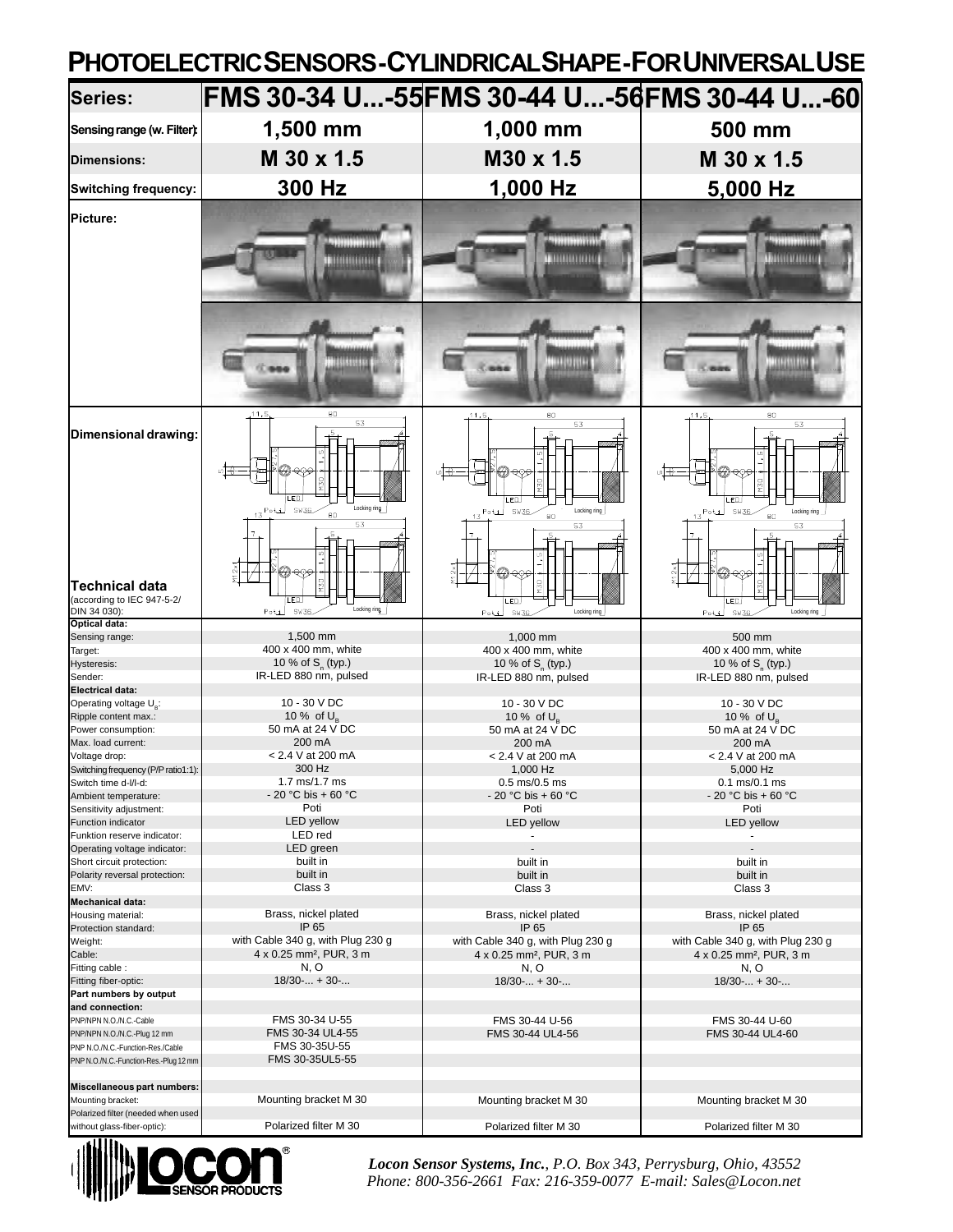## **PHOTOELECTRIC SENSORS - CYLINDRICAL SHAPE - FOR UNIVERSAL USE**

| Series:                                                      | FMS 30-34 U-55 FMS 30-44 U-56 FMS 30-44 U-60                      |                                                                                                                        |                                                                                                  |
|--------------------------------------------------------------|-------------------------------------------------------------------|------------------------------------------------------------------------------------------------------------------------|--------------------------------------------------------------------------------------------------|
| Sensing range (w. Filter):                                   | 1,500 mm                                                          | 1,000 mm                                                                                                               | 500 mm                                                                                           |
| <b>Dimensions:</b>                                           | M 30 x 1.5                                                        | M30 x 1.5                                                                                                              | M 30 x 1.5                                                                                       |
| <b>Switching frequency:</b>                                  | 300 Hz                                                            | 1,000 Hz                                                                                                               | 5,000 Hz                                                                                         |
| Picture:                                                     | <b>MINIMULATI</b>                                                 | <b>MANUFACTURE</b>                                                                                                     | <b>MANUTALITY</b>                                                                                |
|                                                              | 8888888<br>80<br>11.5                                             | 110000004<br>19544                                                                                                     | 194111714<br>$-0005$                                                                             |
| Dimensional drawing:                                         | 53<br>ம∏⊕<br>୧୧୨<br>_ED.<br>Locking ring<br>Poti SW36<br>80<br>53 | 80<br>,11,5<br>53<br>$\frac{1}{\sqrt{1+\frac{1}{2}}}$<br>20 ବେତ<br>ED<br>Locking ring<br>$13^{Po}$ LJ SW36<br>80<br>53 | 80<br>,11,5<br>53<br>৸∐ক<br> @-දාං<br><b>M30</b><br>ED<br>Potal SW36<br>Locking ring<br>80<br>53 |
| Technical data<br>(according to IEC 947-5-2/<br>DIN 34 030): | ED.<br>Locking ring.<br><b>SW36</b><br>Poti                       | <del>୧</del> ୦୨<br><b>PEN</b><br>_ED.<br>Locking ring<br><b>SW36</b><br>Poti                                           | ୧୧୨<br>ED<br><b>SW36</b><br>Locking ring<br>Poti                                                 |
| <b>Optical data:</b><br>Sensing range:                       | 1,500 mm                                                          | 1,000 mm                                                                                                               | 500 mm                                                                                           |
| Target:<br>Hysteresis:                                       | 400 x 400 mm, white<br>10 % of $S_n$ (typ.)                       | 400 x 400 mm, white<br>10 % of $S_{n}$ (typ.)                                                                          | 400 x 400 mm, white<br>10 % of S <sub>n</sub> (typ.)                                             |
| Sender:                                                      | IR-LED 880 nm, pulsed                                             | IR-LED 880 nm, pulsed                                                                                                  | IR-LED 880 nm, pulsed                                                                            |
| Electrical data:<br>Operating voltage U <sub>p</sub> :       | 10 - 30 V DC                                                      | 10 - 30 V DC                                                                                                           | 10 - 30 V DC                                                                                     |
| Ripple content max.:                                         | 10 % of $U_{\scriptscriptstyle{B}}$                               | 10 % of $U_B$                                                                                                          | 10 % of $U_{p}$                                                                                  |
| Power consumption:                                           | 50 mA at 24 V DC                                                  | 50 mA at 24 V DC                                                                                                       | 50 mA at 24 V DC                                                                                 |
| Max. load current:<br>Voltage drop:                          | 200 mA<br>< 2.4 V at 200 mA                                       | 200 mA<br>< 2.4 V at 200 mA                                                                                            | 200 mA<br>$< 2.4 V$ at 200 mA                                                                    |
| Switching frequency (P/P ratio1:1):                          | 300 Hz                                                            | 1,000 Hz                                                                                                               | 5,000 Hz                                                                                         |
| Switch time d-I/I-d:                                         | 1.7 ms/1.7 ms                                                     | $0.5$ ms/0.5 ms                                                                                                        | $0.1 \text{ ms}/0.1 \text{ ms}$                                                                  |
| Ambient temperature:<br>Sensitivity adjustment:              | - 20 °C bis + 60 °C<br>Poti                                       | $-20$ °C bis + 60 °C<br>Poti                                                                                           | $-20$ °C bis + 60 °C<br>Poti                                                                     |
| Function indicator                                           | <b>LED</b> yellow                                                 | <b>LED</b> yellow                                                                                                      | <b>LED</b> yellow                                                                                |
| Funktion reserve indicator:                                  | LED red                                                           |                                                                                                                        |                                                                                                  |
| Operating voltage indicator:<br>Short circuit protection:    | LED green<br>built in                                             | built in                                                                                                               | built in                                                                                         |
| Polarity reversal protection:                                | built in                                                          | built in                                                                                                               | built in                                                                                         |
| EMV:                                                         | Class 3                                                           | Class 3                                                                                                                | Class 3                                                                                          |
| <b>Mechanical data:</b><br>Housing material:                 | Brass, nickel plated                                              |                                                                                                                        |                                                                                                  |
| Protection standard:                                         | IP 65                                                             | Brass, nickel plated<br>IP 65                                                                                          | Brass, nickel plated<br>IP 65                                                                    |
| Weight:                                                      | with Cable 340 g, with Plug 230 g                                 | with Cable 340 g, with Plug 230 g                                                                                      | with Cable 340 g, with Plug 230 g                                                                |
| Cable:                                                       | 4 x 0.25 mm <sup>2</sup> , PUR, 3 m                               | 4 x 0.25 mm <sup>2</sup> , PUR, 3 m                                                                                    | 4 x 0.25 mm <sup>2</sup> , PUR, 3 m                                                              |
| Fitting cable :<br>Fitting fiber-optic:                      | N, O<br>$18/30$ - + 30-                                           | N, O<br>$18/30$ - + 30-                                                                                                | N, O<br>$18/30$ - + 30-                                                                          |
| Part numbers by output                                       |                                                                   |                                                                                                                        |                                                                                                  |
| and connection:                                              |                                                                   |                                                                                                                        |                                                                                                  |
| PNP/NPN N.O./N.C.-Cable<br>PNP/NPN N.O./N.C.-Plug 12 mm      | FMS 30-34 U-55<br>FMS 30-34 UL4-55                                | FMS 30-44 U-56<br>FMS 30-44 UL4-56                                                                                     | FMS 30-44 U-60<br>FMS 30-44 UL4-60                                                               |
| PNP N.O./N.C.-Function-Res./Cable                            | FMS 30-35U-55                                                     |                                                                                                                        |                                                                                                  |
| PNP N.O./N.C.-Function-Res.-Plug 12 mm                       | FMS 30-35UL5-55                                                   |                                                                                                                        |                                                                                                  |
|                                                              |                                                                   |                                                                                                                        |                                                                                                  |
| Miscellaneous part numbers:<br>Mounting bracket:             | Mounting bracket M 30                                             | Mounting bracket M 30                                                                                                  | Mounting bracket M 30                                                                            |
| Polarized filter (needed when used                           |                                                                   |                                                                                                                        |                                                                                                  |
| without glass-fiber-optic):                                  | Polarized filter M 30                                             | Polarized filter M 30                                                                                                  | Polarized filter M 30                                                                            |



*Locon Sensor Systems, Inc.*, *P.O. Box 343, Perrysburg, Ohio, 43552 Phone: 800-356-2661 Fax: 216-359-0077 E-mail: Sales@Locon.net*